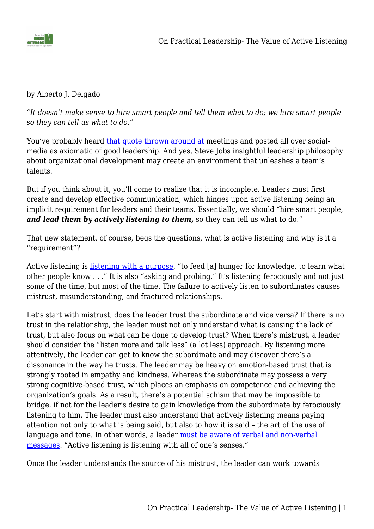

## by Alberto J. Delgado

*"It doesn't make sense to hire smart people and tell them what to do; we hire smart people so they can tell us what to do."*

You've probably heard [that quote thrown around at](https://www.inc.com/marcel-schwantes/this-classic-quote-from-steve-jobs-about-hiring-employees-describes-what-great-leadership-looks-like.html) meetings and posted all over socialmedia as axiomatic of good leadership. And yes, Steve Jobs insightful leadership philosophy about organizational development may create an environment that unleashes a team's talents.

But if you think about it, you'll come to realize that it is incomplete. Leaders must first create and develop effective communication, which hinges upon active listening being an implicit requirement for leaders and their teams. Essentially, we should "hire smart people, *and lead them by actively listening to them,* so they can tell us what to do."

That new statement, of course, begs the questions, what is active listening and why is it a "requirement"?

Active listening is [listening with a purpose,](https://www.amazon.com/Multipliers-Revised-Updated-Leaders-Everyone/dp/0062663070/ref=tmm_hrd_swatch_0?_encoding=UTF8&qid=1653394848&sr=8-1) "to feed [a] hunger for knowledge, to learn what other people know . . ." It is also "asking and probing." It's listening ferociously and not just some of the time, but most of the time. The failure to actively listen to subordinates causes mistrust, misunderstanding, and fractured relationships.

Let's start with mistrust, does the leader trust the subordinate and vice versa? If there is no trust in the relationship, the leader must not only understand what is causing the lack of trust, but also focus on what can be done to develop trust? When there's mistrust, a leader should consider the "listen more and talk less" (a lot less) approach. By listening more attentively, the leader can get to know the subordinate and may discover there's a dissonance in the way he trusts. The leader may be heavy on emotion-based trust that is strongly rooted in empathy and kindness. Whereas the subordinate may possess a very strong cognitive-based trust, which places an emphasis on competence and achieving the organization's goals. As a result, there's a potential schism that may be impossible to bridge, if not for the leader's desire to gain knowledge from the subordinate by ferociously listening to him. The leader must also understand that actively listening means paying attention not only to what is being said, but also to how it is said – the art of the use of language and tone. In other words, a leader [must be aware of verbal and non-verbal](https://ascopubs.org/doi/10.1200/JOP.0766501) [messages](https://ascopubs.org/doi/10.1200/JOP.0766501). "Active listening is listening with all of one's senses."

Once the leader understands the source of his mistrust, the leader can work towards